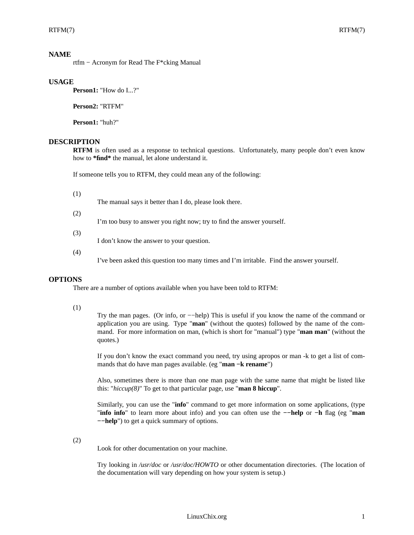## **NAME**

rtfm − Acronym for Read The F\*cking Manual

## **USAGE**

**Person1:** "How do I...?"

**Person2:** "RTFM"

**Person1:** "huh?"

# **DESCRIPTION**

**RTFM** is often used as a response to technical questions. Unfortunately, many people don't even know how to **\*find\*** the manual, let alone understand it.

If someone tells you to RTFM, they could mean any of the following:

(1)

The manual says it better than I do, please look there.

(2)

I'm too busy to answer you right now; try to find the answer yourself.

(3)

I don't know the answer to your question.

(4)

I've been asked this question too many times and I'm irritable. Find the answer yourself.

#### **OPTIONS**

There are a number of options available when you have been told to RTFM:

#### (1)

Try the man pages. (Or info, or −−help) This is useful if you know the name of the command or application you are using. Type "**man**" (without the quotes) followed by the name of the command. For more information on man, (which is short for "manual") type "**man man**" (without the quotes.)

If you don't know the exact command you need, try using apropos or man -k to get a list of commands that do have man pages available. (eg "**man −k rename**")

Also, sometimes there is more than one man page with the same name that might be listed like this: "*hiccup(8)*" To get to that particular page, use "**man 8 hiccup**".

Similarly, you can use the "**info**" command to get more information on some applications, (type "**info info**" to learn more about info) and you can often use the **−−help** or **−h** flag (eg "**man −−help**") to get a quick summary of options.

(2)

Look for other documentation on your machine.

Try looking in */usr/doc* or */usr/doc/HOWTO* or other documentation directories. (The location of the documentation will vary depending on how your system is setup.)